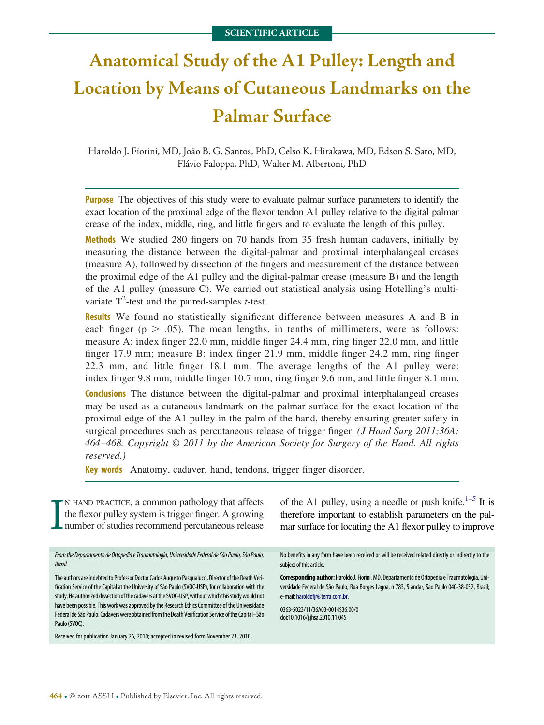# **Anatomical Study of the A1 Pulley: Length and Location by Means of Cutaneous Landmarks on the Palmar Surface**

Haroldo J. Fiorini, MD, João B. G. Santos, PhD, Celso K. Hirakawa, MD, Edson S. Sato, MD, Flávio Faloppa, PhD, Walter M. Albertoni, PhD

**Purpose** The objectives of this study were to evaluate palmar surface parameters to identify the exact location of the proximal edge of the flexor tendon A1 pulley relative to the digital palmar crease of the index, middle, ring, and little fingers and to evaluate the length of this pulley.

**Methods** We studied 280 fingers on 70 hands from 35 fresh human cadavers, initially by measuring the distance between the digital-palmar and proximal interphalangeal creases (measure A), followed by dissection of the fingers and measurement of the distance between the proximal edge of the A1 pulley and the digital-palmar crease (measure B) and the length of the A1 pulley (measure C). We carried out statistical analysis using Hotelling's multivariate  $T^2$ -test and the paired-samples *t*-test.

**Results** We found no statistically significant difference between measures A and B in each finger ( $p > .05$ ). The mean lengths, in tenths of millimeters, were as follows: measure A: index finger 22.0 mm, middle finger 24.4 mm, ring finger 22.0 mm, and little finger 17.9 mm; measure B: index finger 21.9 mm, middle finger 24.2 mm, ring finger 22.3 mm, and little finger 18.1 mm. The average lengths of the A1 pulley were: index finger 9.8 mm, middle finger 10.7 mm, ring finger 9.6 mm, and little finger 8.1 mm.

**Conclusions** The distance between the digital-palmar and proximal interphalangeal creases may be used as a cutaneous landmark on the palmar surface for the exact location of the proximal edge of the A1 pulley in the palm of the hand, thereby ensuring greater safety in surgical procedures such as percutaneous release of trigger finger. *(J Hand Surg 2011;36A: 464*–*468. Copyright © 2011 by the American Society for Surgery of the Hand. All rights reserved.)*

**Key words** Anatomy, cadaver, hand, tendons, trigger finger disorder.

I N HAND PRACTICE, a common pathology that affects the flexor pulley system is trigger finger. A growing number of studies recommend percutaneous release of the A1 pulley, using a needle or push knife.<sup>1–5</sup> It is therefore important to establish parameters on the palmar surface for locating the A1 flexor pulley to improve From the Departamento de Ortopedia e Traumatologia, Universidade Federal de São Paulo, São Paulo, Brazil. The authors are indebted to Professor Doctor Carlos Augusto Pasqualucci, Director of the Death Verification Service of the Capital at the University of São Paulo (SVOC-USP), for collaboration with the study. He authorized dissection of the cadavers at the SVOC-USP, without which this study would not have been possible. This work was approved by the Research Ethics Committee of the Universidade Federal de São Paulo. Cadavers were obtained from the Death Verification Service of the Capital-São Paulo (SVOC). Received for publication January 26, 2010; accepted in revised form November 23, 2010. No benefits in any form have been received or will be received related directly or indirectly to the subject of this article. **Corresponding author:** HaroldoJ. Fiorini, MD, Departamento de Ortopedia e Traumatologia, Universidade Federal de São Paulo, Rua Borges Lagoa, n 783, 5 andar, Sao Paulo 040-38-032, Brazil; e-mail: [haroldofjr@terra.com.br.](mailto:haroldofjr@terra.com.br) 0363-5023/11/36A03-0014\$36.00/0 doi:10.1016/j.jhsa.2010.11.045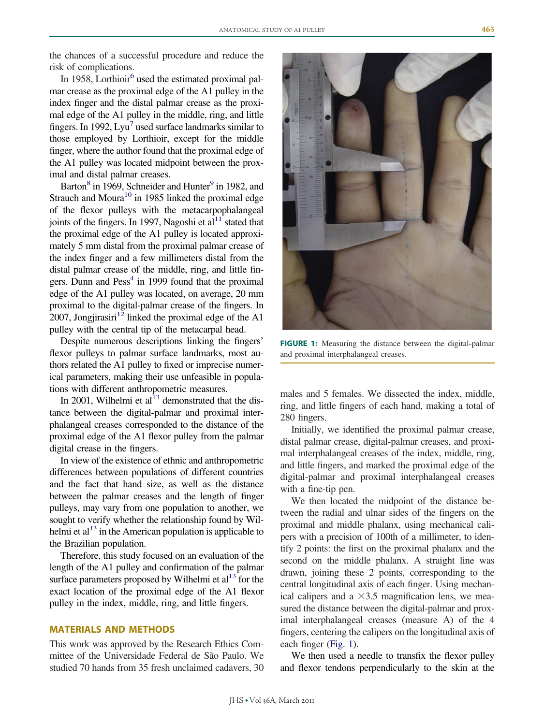the chances of a successful procedure and reduce the risk of complications.

In 1958, Lorthioir $<sup>6</sup>$  used the estimated proximal pal-</sup> mar crease as the proximal edge of the A1 pulley in the index finger and the distal palmar crease as the proximal edge of the A1 pulley in the middle, ring, and little fingers. In 1992,  $Lvu^7$  used surface landmarks similar to those employed by Lorthioir, except for the middle finger, where the author found that the proximal edge of the A1 pulley was located midpoint between the proximal and distal palmar creases.

Barton<sup>8</sup> in 1969, Schneider and Hunter<sup>9</sup> in 1982, and Strauch and Moura $^{10}$  in 1985 linked the proximal edge of the flexor pulleys with the metacarpophalangeal joints of the fingers. In 1997, Nagoshi et al $^{11}$  stated that the proximal edge of the A1 pulley is located approximately 5 mm distal from the proximal palmar crease of the index finger and a few millimeters distal from the distal palmar crease of the middle, ring, and little fingers. Dunn and  $Pess<sup>4</sup>$  in 1999 found that the proximal edge of the A1 pulley was located, on average, 20 mm proximal to the digital-palmar crease of the fingers. In 2007, Jongjirasiri<sup>12</sup> linked the proximal edge of the A1 pulley with the central tip of the metacarpal head.

Despite numerous descriptions linking the fingers' flexor pulleys to palmar surface landmarks, most authors related the A1 pulley to fixed or imprecise numerical parameters, making their use unfeasible in populations with different anthropometric measures.

In 2001, Wilhelmi et al $^{13}$  demonstrated that the distance between the digital-palmar and proximal interphalangeal creases corresponded to the distance of the proximal edge of the A1 flexor pulley from the palmar digital crease in the fingers.

In view of the existence of ethnic and anthropometric differences between populations of different countries and the fact that hand size, as well as the distance between the palmar creases and the length of finger pulleys, may vary from one population to another, we sought to verify whether the relationship found by Wilhelmi et al<sup>13</sup> in the American population is applicable to the Brazilian population.

Therefore, this study focused on an evaluation of the length of the A1 pulley and confirmation of the palmar surface parameters proposed by Wilhelmi et  $al<sup>13</sup>$  for the exact location of the proximal edge of the A1 flexor pulley in the index, middle, ring, and little fingers.

## **MATERIALS AND METHODS**

This work was approved by the Research Ethics Committee of the Universidade Federal de São Paulo. We studied 70 hands from 35 fresh unclaimed cadavers, 30



**FIGURE 1:** Measuring the distance between the digital-palmar and proximal interphalangeal creases.

<span id="page-1-0"></span>males and 5 females. We dissected the index, middle, ring, and little fingers of each hand, making a total of 280 fingers.

Initially, we identified the proximal palmar crease, distal palmar crease, digital-palmar creases, and proximal interphalangeal creases of the index, middle, ring, and little fingers, and marked the proximal edge of the digital-palmar and proximal interphalangeal creases with a fine-tip pen.

We then located the midpoint of the distance between the radial and ulnar sides of the fingers on the proximal and middle phalanx, using mechanical calipers with a precision of 100th of a millimeter, to identify 2 points: the first on the proximal phalanx and the second on the middle phalanx. A straight line was drawn, joining these 2 points, corresponding to the central longitudinal axis of each finger. Using mechanical calipers and a  $\times$ 3.5 magnification lens, we measured the distance between the digital-palmar and proximal interphalangeal creases (measure A) of the 4 fingers, centering the calipers on the longitudinal axis of each finger [\(Fig. 1\)](#page-1-0).

We then used a needle to transfix the flexor pulley and flexor tendons perpendicularly to the skin at the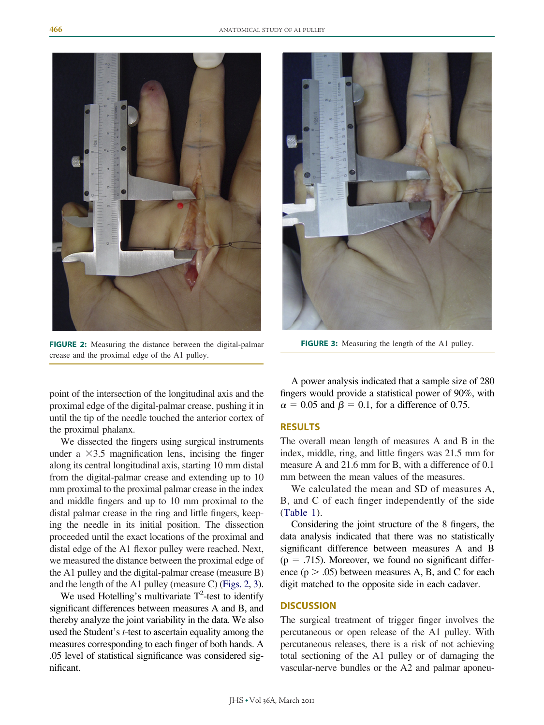

**FIGURE 2:** Measuring the distance between the digital-palmar crease and the proximal edge of the A1 pulley.



**FIGURE 3:** Measuring the length of the A1 pulley.

<span id="page-2-0"></span>point of the intersection of the longitudinal axis and the proximal edge of the digital-palmar crease, pushing it in until the tip of the needle touched the anterior cortex of the proximal phalanx.

We dissected the fingers using surgical instruments under a  $\times$ 3.5 magnification lens, incising the finger along its central longitudinal axis, starting 10 mm distal from the digital-palmar crease and extending up to 10 mm proximal to the proximal palmar crease in the index and middle fingers and up to 10 mm proximal to the distal palmar crease in the ring and little fingers, keeping the needle in its initial position. The dissection proceeded until the exact locations of the proximal and distal edge of the A1 flexor pulley were reached. Next, we measured the distance between the proximal edge of the A1 pulley and the digital-palmar crease (measure B) and the length of the A1 pulley (measure C) [\(Figs. 2,](#page-2-0) [3\)](#page-2-1).

We used Hotelling's multivariate  $T^2$ -test to identify significant differences between measures A and B, and thereby analyze the joint variability in the data. We also used the Student's *t*-test to ascertain equality among the measures corresponding to each finger of both hands. A .05 level of statistical significance was considered significant.

<span id="page-2-1"></span>A power analysis indicated that a sample size of 280 fingers would provide a statistical power of 90%, with  $\alpha = 0.05$  and  $\beta = 0.1$ , for a difference of 0.75.

### **RESULTS**

The overall mean length of measures A and B in the index, middle, ring, and little fingers was 21.5 mm for measure A and 21.6 mm for B, with a difference of 0.1 mm between the mean values of the measures.

We calculated the mean and SD of measures A, B, and C of each finger independently of the side [\(Table 1\)](#page-3-0).

Considering the joint structure of the 8 fingers, the data analysis indicated that there was no statistically significant difference between measures A and B  $(p = .715)$ . Moreover, we found no significant difference  $(p > .05)$  between measures A, B, and C for each digit matched to the opposite side in each cadaver.

### **DISCUSSION**

The surgical treatment of trigger finger involves the percutaneous or open release of the A1 pulley. With percutaneous releases, there is a risk of not achieving total sectioning of the A1 pulley or of damaging the vascular-nerve bundles or the A2 and palmar aponeu-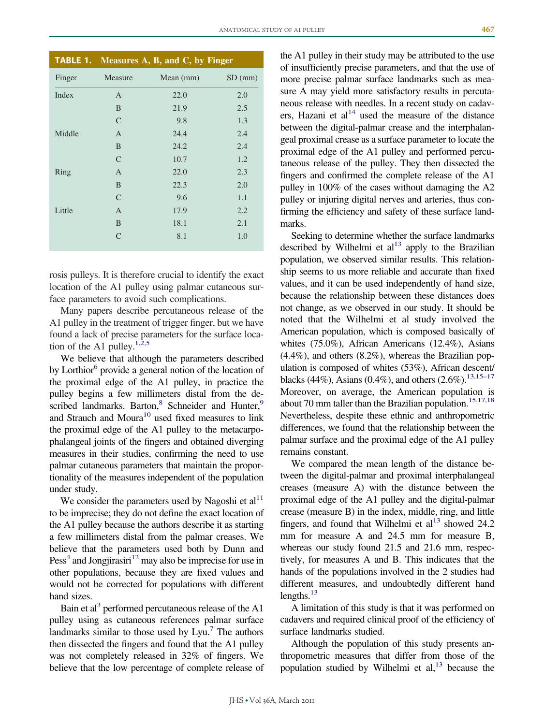<span id="page-3-0"></span>

| <b>TABLE 1.</b> Measures $\overline{A}$ , $\overline{B}$ , and $\overline{C}$ , by Finger |               |           |           |
|-------------------------------------------------------------------------------------------|---------------|-----------|-----------|
| Finger                                                                                    | Measure       | Mean (mm) | $SD$ (mm) |
| Index                                                                                     | $\mathsf{A}$  | 22.0      | 2.0       |
|                                                                                           | B             | 21.9      | 2.5       |
|                                                                                           | $\mathcal{C}$ | 9.8       | 1.3       |
| Middle                                                                                    | $\mathsf{A}$  | 24.4      | 2.4       |
|                                                                                           | B             | 24.2      | 2.4       |
|                                                                                           | $\mathcal{C}$ | 10.7      | 1.2       |
| Ring                                                                                      | A             | 22.0      | 2.3       |
|                                                                                           | B             | 22.3      | 2.0       |
|                                                                                           | $\mathcal{C}$ | 9.6       | 1.1       |
| Little                                                                                    | $\mathsf{A}$  | 17.9      | 2.2       |
|                                                                                           | B             | 18.1      | 2.1       |
|                                                                                           | $\mathsf{C}$  | 8.1       | 1.0       |

rosis pulleys. It is therefore crucial to identify the exact location of the A1 pulley using palmar cutaneous surface parameters to avoid such complications.

Many papers describe percutaneous release of the A1 pulley in the treatment of trigger finger, but we have found a lack of precise parameters for the surface location of the A1 pulley.<sup>1,2,5</sup>

We believe that although the parameters described by Lorthior<sup>6</sup> provide a general notion of the location of the proximal edge of the A1 pulley, in practice the pulley begins a few millimeters distal from the described landmarks. Barton,<sup>8</sup> Schneider and Hunter,<sup>9</sup> and Strauch and Moura<sup>10</sup> used fixed measures to link the proximal edge of the A1 pulley to the metacarpophalangeal joints of the fingers and obtained diverging measures in their studies, confirming the need to use palmar cutaneous parameters that maintain the proportionality of the measures independent of the population under study.

We consider the parameters used by Nagoshi et  $al<sup>11</sup>$ to be imprecise; they do not define the exact location of the A1 pulley because the authors describe it as starting a few millimeters distal from the palmar creases. We believe that the parameters used both by Dunn and  $Pess<sup>4</sup>$  and Jongjirasiri<sup>12</sup> may also be imprecise for use in other populations, because they are fixed values and would not be corrected for populations with different hand sizes.

Bain et al<sup>3</sup> performed percutaneous release of the A1 pulley using as cutaneous references palmar surface landmarks similar to those used by  $Lyu$ .<sup>7</sup> The authors then dissected the fingers and found that the A1 pulley was not completely released in 32% of fingers. We believe that the low percentage of complete release of

the A1 pulley in their study may be attributed to the use of insufficiently precise parameters, and that the use of more precise palmar surface landmarks such as measure A may yield more satisfactory results in percutaneous release with needles. In a recent study on cadavers, Hazani et al<sup>14</sup> used the measure of the distance between the digital-palmar crease and the interphalangeal proximal crease as a surface parameter to locate the proximal edge of the A1 pulley and performed percutaneous release of the pulley. They then dissected the fingers and confirmed the complete release of the A1 pulley in 100% of the cases without damaging the A2 pulley or injuring digital nerves and arteries, thus confirming the efficiency and safety of these surface landmarks.

Seeking to determine whether the surface landmarks described by Wilhelmi et  $al<sup>13</sup>$  apply to the Brazilian population, we observed similar results. This relationship seems to us more reliable and accurate than fixed values, and it can be used independently of hand size, because the relationship between these distances does not change, as we observed in our study. It should be noted that the Wilhelmi et al study involved the American population, which is composed basically of whites (75.0%), African Americans (12.4%), Asians (4.4%), and others (8.2%), whereas the Brazilian population is composed of whites (53%), African descent/ blacks (44%), Asians (0.4%), and others (2.6%).<sup>13,15–17</sup> Moreover, on average, the American population is about 70 mm taller than the Brazilian population.<sup>15,17,18</sup> Nevertheless, despite these ethnic and anthropometric differences, we found that the relationship between the palmar surface and the proximal edge of the A1 pulley remains constant.

We compared the mean length of the distance between the digital-palmar and proximal interphalangeal creases (measure A) with the distance between the proximal edge of the A1 pulley and the digital-palmar crease (measure B) in the index, middle, ring, and little fingers, and found that Wilhelmi et  $al<sup>13</sup>$  showed 24.2 mm for measure A and 24.5 mm for measure B, whereas our study found 21.5 and 21.6 mm, respectively, for measures A and B. This indicates that the hands of the populations involved in the 2 studies had different measures, and undoubtedly different hand lengths. $^{13}$ 

A limitation of this study is that it was performed on cadavers and required clinical proof of the efficiency of surface landmarks studied.

Although the population of this study presents anthropometric measures that differ from those of the population studied by Wilhelmi et al,<sup>13</sup> because the